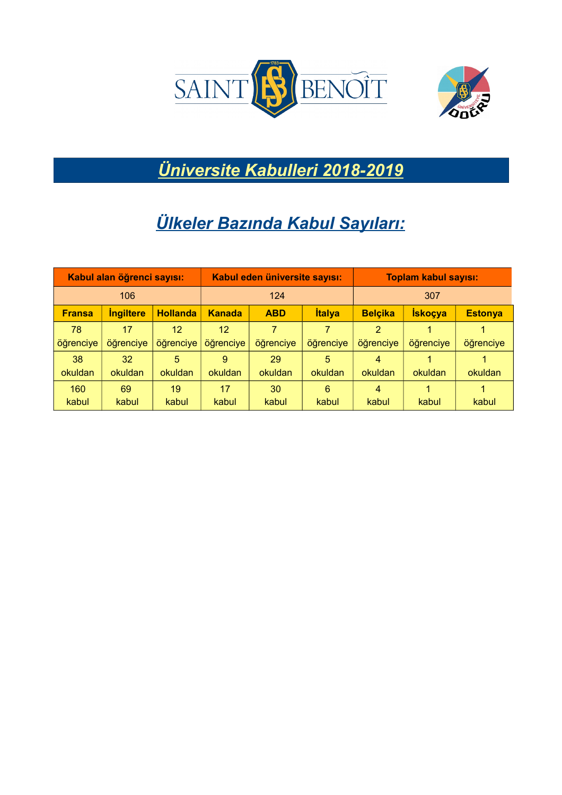



*Üniversite Kabulleri 2018-2019*

## *Ülkeler Bazında Kabul Sayıları:*

| Kabul alan öğrenci sayısı: |                                |                 | Kabul eden üniversite sayısı: |            |               | <b>Toplam kabul sayısı:</b> |                |                |
|----------------------------|--------------------------------|-----------------|-------------------------------|------------|---------------|-----------------------------|----------------|----------------|
| 106                        |                                | 124             |                               | 307        |               |                             |                |                |
| <b>Fransa</b>              | <i><u><b>Ingiltere</b></u></i> | <b>Hollanda</b> | <b>Kanada</b>                 | <b>ABD</b> | <b>İtalya</b> | <b>Belçika</b>              | <b>İskoçya</b> | <b>Estonya</b> |
| 78                         | 17                             | 12              | 12                            | 7          | 7             | $\overline{2}$              |                |                |
| öğrenciye                  | öğrenciye                      | öğrenciye       | öğrenciye                     | öğrenciye  | öğrenciye     | öğrenciye                   | öğrenciye      | öğrenciye      |
| 38                         | 32                             | 5.              | 9                             | 29         | 5             | 4                           |                |                |
| okuldan                    | okuldan                        | okuldan         | okuldan                       | okuldan    | okuldan       | okuldan                     | okuldan        | okuldan        |
| 160                        | 69                             | 19              | 17                            | 30         | 6             | 4                           |                |                |
| kabul                      | kabul                          | kabul           | kabul                         | kabul      | kabul         | kabul                       | kabul          | kabul          |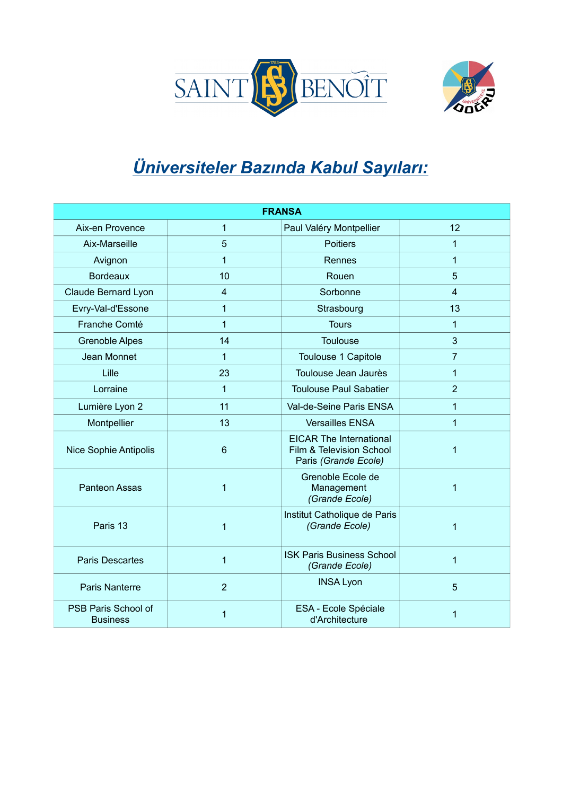



## *Üniversiteler Bazında Kabul Sayıları:*

| <b>FRANSA</b>                          |                |                                                                                    |                |  |  |
|----------------------------------------|----------------|------------------------------------------------------------------------------------|----------------|--|--|
| Aix-en Provence                        | 1              | Paul Valéry Montpellier                                                            | 12             |  |  |
| Aix-Marseille                          | 5              | <b>Poitiers</b>                                                                    | 1              |  |  |
| Avignon                                | $\mathbf{1}$   | Rennes                                                                             | $\mathbf{1}$   |  |  |
| <b>Bordeaux</b>                        | 10             | Rouen                                                                              | 5              |  |  |
| <b>Claude Bernard Lyon</b>             | $\overline{4}$ | Sorbonne                                                                           | $\overline{4}$ |  |  |
| Evry-Val-d'Essone                      | $\mathbf{1}$   | Strasbourg                                                                         | 13             |  |  |
| Franche Comté                          | $\mathbf{1}$   | <b>Tours</b>                                                                       | $\mathbf{1}$   |  |  |
| <b>Grenoble Alpes</b>                  | 14             | <b>Toulouse</b>                                                                    | 3              |  |  |
| Jean Monnet                            | 1              | Toulouse 1 Capitole                                                                | $\overline{7}$ |  |  |
| Lille                                  | 23             | Toulouse Jean Jaurès                                                               | $\mathbf{1}$   |  |  |
| Lorraine                               | $\mathbf{1}$   | <b>Toulouse Paul Sabatier</b>                                                      | $\overline{2}$ |  |  |
| Lumière Lyon 2                         | 11             | Val-de-Seine Paris ENSA                                                            | $\mathbf{1}$   |  |  |
| Montpellier                            | 13             | <b>Versailles ENSA</b>                                                             | $\mathbf{1}$   |  |  |
| <b>Nice Sophie Antipolis</b>           | 6              | <b>EICAR The International</b><br>Film & Television School<br>Paris (Grande Ecole) | $\mathbf{1}$   |  |  |
| <b>Panteon Assas</b>                   | 1              | Grenoble Ecole de<br>Management<br>(Grande Ecole)                                  | $\mathbf{1}$   |  |  |
| Paris 13                               | 1              | Institut Catholique de Paris<br>(Grande Ecole)                                     | $\mathbf{1}$   |  |  |
| <b>Paris Descartes</b>                 | $\mathbf{1}$   | <b>ISK Paris Business School</b><br>(Grande Ecole)                                 | $\mathbf{1}$   |  |  |
| Paris Nanterre                         | $\overline{2}$ | <b>INSA Lyon</b>                                                                   | 5              |  |  |
| PSB Paris School of<br><b>Business</b> | 1              | ESA - Ecole Spéciale<br>d'Architecture                                             | 1              |  |  |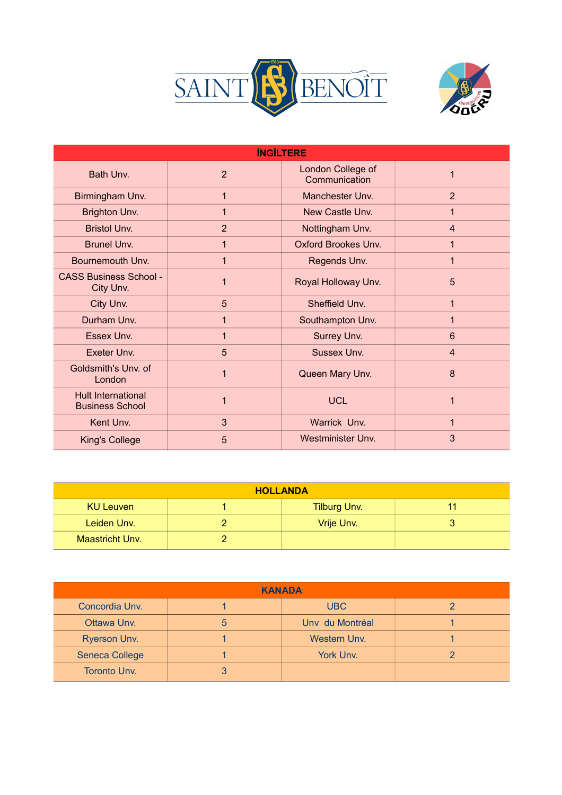



| <b>INGILTERE</b>                                    |                |                                    |                 |  |  |
|-----------------------------------------------------|----------------|------------------------------------|-----------------|--|--|
| Bath Unv.                                           | $\overline{2}$ | London College of<br>Communication | 1               |  |  |
| Birmingham Unv.                                     | 1              | Manchester Unv.                    | 2               |  |  |
| Brighton Unv.                                       | 1              | New Castle Unv.                    | 1               |  |  |
| <b>Bristol Unv.</b>                                 | 2              | Nottingham Unv.                    | $\overline{4}$  |  |  |
| <b>Brunel Unv.</b>                                  | 1              | <b>Oxford Brookes Unv.</b>         | 1               |  |  |
| Bournemouth Unv.                                    | 1              | Regends Unv.                       | 1               |  |  |
| <b>CASS Business School -</b><br>City Unv.          | 1              | Royal Holloway Unv.                | 5               |  |  |
| City Unv.                                           | 5              | Sheffield Unv.                     | 1               |  |  |
| Durham Unv.                                         | 1              | Southampton Unv.                   | 1               |  |  |
| Essex Unv.                                          | 1              | Surrey Unv.                        | $6\phantom{1}6$ |  |  |
| Exeter Unv.                                         | 5              | Sussex Unv.                        | $\overline{4}$  |  |  |
| Goldsmith's Unv. of<br>London                       | 1              | Queen Mary Unv.                    | 8               |  |  |
| <b>Hult International</b><br><b>Business School</b> |                | <b>UCL</b>                         | 1               |  |  |
| Kent Unv.                                           | 3              | Warrick Unv.                       | 1               |  |  |
| <b>King's College</b>                               | 5              | <b>Westminister Unv.</b>           | 3               |  |  |

| <b>HOLLANDA</b>        |  |                     |  |  |  |
|------------------------|--|---------------------|--|--|--|
| KU Leuven              |  | <b>Tilburg Unv.</b> |  |  |  |
| Leiden Unv.            |  | Vrije Unv.          |  |  |  |
| <b>Maastricht Unv.</b> |  |                     |  |  |  |

| <b>KANADA</b>         |   |                     |  |  |  |
|-----------------------|---|---------------------|--|--|--|
| Concordia Unv.        |   | <b>UBC</b>          |  |  |  |
| Ottawa Unv.           | 5 | Unv du Montréal     |  |  |  |
| <b>Ryerson Unv.</b>   |   | <b>Western Unv.</b> |  |  |  |
| <b>Seneca College</b> |   | York Unv.           |  |  |  |
| <b>Toronto Unv.</b>   | 3 |                     |  |  |  |